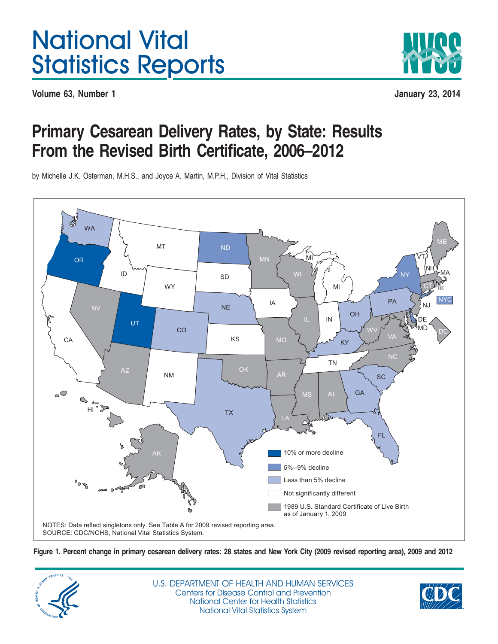# National Vital Statistics Reports

**Volume 63, Number 1 January 23, 2014**



# **Primary Cesarean Delivery Rates, by State: Results From the Revised Birth Certificate, 2006–2012**

by Michelle J.K. Osterman, M.H.S., and Joyce A. Martin, M.P.H., Division of Vital Statistics

<span id="page-0-0"></span>

Figure 1. Percent change in primary cesarean delivery rates: 28 states and New York City (2009 revised reporting area), 2009 and 2012



U.S. DEPARTMENT OF HEALTH AND HUMAN SERVICES Centers for Disease Control and Prevention National Center for Health Statistics National Vital Statistics System

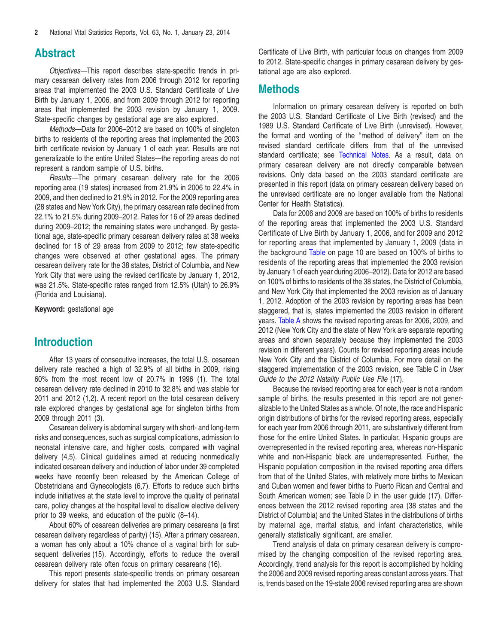# **Abstract**

*Objectives—*This report describes state-specific trends in primary cesarean delivery rates from 2006 through 2012 for reporting areas that implemented the 2003 U.S. Standard Certificate of Live Birth by January 1, 2006, and from 2009 through 2012 for reporting areas that implemented the 2003 revision by January 1, 2009. State-specific changes by gestational age are also explored.

*Methods—*Data for 2006–2012 are based on 100% of singleton births to residents of the reporting areas that implemented the 2003 birth certificate revision by January 1 of each year. Results are not generalizable to the entire United States—the reporting areas do not represent a random sample of U.S. births.

*Results—*The primary cesarean delivery rate for the 2006 reporting area (19 states) increased from 21.9% in 2006 to 22.4% in 2009, and then declined to 21.9% in 2012. For the 2009 reporting area (28 states and New York City), the primary cesarean rate declined from 22.1% to 21.5% during 2009–2012. Rates for 16 of 29 areas declined during 2009–2012; the remaining states were unchanged. By gestational age, state-specific primary cesarean delivery rates at 38 weeks declined for 18 of 29 areas from 2009 to 2012; few state-specific changes were observed at other gestational ages. The primary cesarean delivery rate for the 38 states, District of Columbia, and New York City that were using the revised certificate by January 1, 2012, was 21.5%. State-specific rates ranged from 12.5% (Utah) to 26.9% (Florida and Louisiana).

**Keyword:** gestational age

# **Introduction**

After 13 years of consecutive increases, the total U.S. cesarean delivery rate reached a high of 32.9% of all births in 2009, rising 60% from the most recent low of 20.7% in 1996 (1). The total cesarean delivery rate declined in 2010 to 32.8% and was stable for 2011 and 2012 (1,2). A recent report on the total cesarean delivery rate explored changes by gestational age for singleton births from 2009 through 2011 (3).

Cesarean delivery is abdominal surgery with short- and long-term risks and consequences, such as surgical complications, admission to neonatal intensive care, and higher costs, compared with vaginal delivery (4,5). Clinical guidelines aimed at reducing nonmedically indicated cesarean delivery and induction of labor under 39 completed weeks have recently been released by the American College of Obstetricians and Gynecologists (6,7). Efforts to reduce such births include initiatives at the state level to improve the quality of perinatal care, policy changes at the hospital level to disallow elective delivery prior to 39 weeks, and education of the public (8–14).

About 60% of cesarean deliveries are primary cesareans (a first cesarean delivery regardless of parity) (15). After a primary cesarean, a woman has only about a 10% chance of a vaginal birth for subsequent deliveries (15). Accordingly, efforts to reduce the overall cesarean delivery rate often focus on primary cesareans (16).

This report presents state-specific trends on primary cesarean delivery for states that had implemented the 2003 U.S. Standard

Certificate of Live Birth, with particular focus on changes from 2009 to 2012. State-specific changes in primary cesarean delivery by gestational age are also explored.

#### **Methods**

Information on primary cesarean delivery is reported on both the 2003 U.S. Standard Certificate of Live Birth (revised) and the 1989 U.S. Standard Certificate of Live Birth (unrevised). However, the format and wording of the ''method of delivery'' item on the revised standard certificate differs from that of the unrevised standard certificate; see [Technical](#page-8-0) Notes. As a result, data on primary cesarean delivery are not directly comparable between revisions. Only data based on the 2003 standard certificate are presented in this report (data on primary cesarean delivery based on the unrevised certificate are no longer available from the National Center for Health Statistics).

Data for 2006 and 2009 are based on 100% of births to residents of the reporting areas that implemented the 2003 U.S. Standard Certificate of Live Birth by January 1, 2006, and for 2009 and 2012 for reporting areas that implemented by January 1, 2009 (data in the [background](#page-9-0) Table on page 10 are based on 100% of births to residents of the reporting areas that implemented the 2003 revision by January 1 of each year during 2006–2012). Data for 2012 are based on 100% of births to residents of the 38 states, the District of Columbia, and New York City that implemented the 2003 revision as of January 1, 2012. Adoption of the 2003 revision by reporting areas has been staggered, that is, states implemented the 2003 revision in different years. [Table](#page-2-0) A shows the revised reporting areas for 2006, 2009, and 2012 (New York City and the state of New York are separate reporting areas and shown separately because they implemented the 2003 revision in different years). Counts for revised reporting areas include New York City and the District of Columbia. For more detail on the staggered implementation of the 2003 revision, see Table C in *User Guide to the 2012 Natality Public Use File* (17).

Because the revised reporting area for each year is not a random sample of births, the results presented in this report are not generalizable to the United States as a whole. Of note, the race and Hispanic origin distributions of births for the revised reporting areas, especially for each year from 2006 through 2011, are substantively different from those for the entire United States. In particular, Hispanic groups are overrepresented in the revised reporting area, whereas non-Hispanic white and non-Hispanic black are underrepresented. Further, the Hispanic population composition in the revised reporting area differs from that of the United States, with relatively more births to Mexican and Cuban women and fewer births to Puerto Rican and Central and South American women; see Table D in the user guide (17). Differences between the 2012 revised reporting area (38 states and the District of Columbia) and the United States in the distributions of births by maternal age, marital status, and infant characteristics, while generally statistically significant, are smaller.

Trend analysis of data on primary cesarean delivery is compromised by the changing composition of the revised reporting area. Accordingly, trend analysis for this report is accomplished by holding the 2006 and 2009 revised reporting areas constant across years. That is, trends based on the 19-state 2006 revised reporting area are shown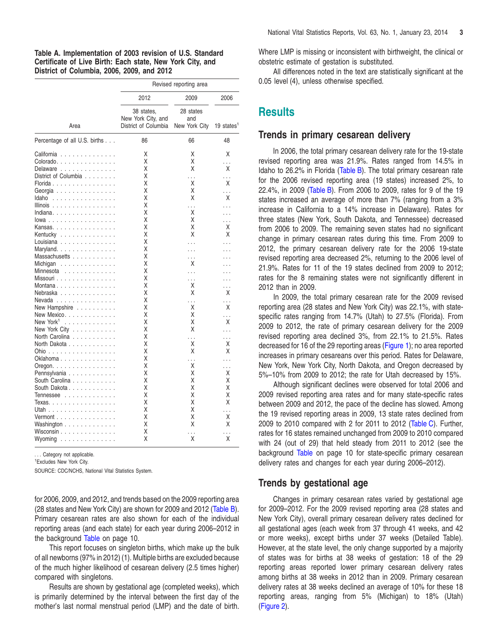<span id="page-2-0"></span>**Table A. Implementation of 2003 revision of U.S. Standard Certificate of Live Birth: Each state, New York City, and District of Columbia, 2006, 2009, and 2012**

|                                                     | Revised reporting area                                   |                                   |                           |  |  |  |  |
|-----------------------------------------------------|----------------------------------------------------------|-----------------------------------|---------------------------|--|--|--|--|
|                                                     | 2012                                                     | 2009                              | 2006                      |  |  |  |  |
| Area                                                | 38 states.<br>New York City, and<br>District of Columbia | 28 states<br>and<br>New York City | 19 states <sup>1</sup>    |  |  |  |  |
| Percentage of all U.S. births                       | 86                                                       | 66                                | 48                        |  |  |  |  |
| California<br>$\ldots$                              | Χ                                                        | Χ                                 | Χ                         |  |  |  |  |
| Colorado                                            | Χ                                                        | Χ                                 | .                         |  |  |  |  |
| Delaware                                            | Χ                                                        | Χ                                 | χ                         |  |  |  |  |
| District of Columbia                                | Χ                                                        | .                                 | .                         |  |  |  |  |
| Florida                                             | Χ                                                        | Χ                                 | Χ                         |  |  |  |  |
|                                                     | Χ                                                        | Χ                                 |                           |  |  |  |  |
| Georgia                                             |                                                          |                                   | .                         |  |  |  |  |
| Idaho<br>.                                          | Χ                                                        | Χ                                 | Χ                         |  |  |  |  |
| Illinois $\ldots \ldots \ldots \ldots \ldots$       | Χ                                                        | .                                 | $\ddot{\phantom{0}}$      |  |  |  |  |
| Indiana.                                            | Χ                                                        | Χ                                 | $\ddot{\phantom{0}}$      |  |  |  |  |
| $lowa \dots \dots \dots \dots \dots \dots$          | Χ                                                        | Χ                                 | $\ddot{\phantom{0}}$      |  |  |  |  |
| Kansas.                                             | χ                                                        | Χ                                 | Χ                         |  |  |  |  |
| Kentucky                                            | Χ                                                        | Χ                                 | χ                         |  |  |  |  |
| Louisiana $\ldots$ , $\ldots$ , $\ldots$ , $\ldots$ | χ                                                        | .                                 |                           |  |  |  |  |
| Maryland.                                           | Χ                                                        | .                                 |                           |  |  |  |  |
| Massachusetts                                       | χ                                                        | .                                 |                           |  |  |  |  |
| Michigan                                            | Χ                                                        | Χ                                 |                           |  |  |  |  |
| Minnesota                                           | Χ                                                        | .                                 |                           |  |  |  |  |
| Missouri                                            | Χ                                                        | .                                 |                           |  |  |  |  |
| Montana                                             | Χ                                                        | Χ                                 |                           |  |  |  |  |
| Nebraska                                            | Χ                                                        | Χ                                 | Χ                         |  |  |  |  |
| Nevada                                              | Χ                                                        |                                   |                           |  |  |  |  |
| New Hampshire                                       | Χ                                                        | .<br>Χ                            | Χ                         |  |  |  |  |
|                                                     |                                                          |                                   |                           |  |  |  |  |
| New Mexico                                          | Χ                                                        | Χ                                 |                           |  |  |  |  |
| New York <sup>1</sup><br>.                          | Χ                                                        | Χ                                 | X                         |  |  |  |  |
| New York City                                       | Χ                                                        | Χ                                 |                           |  |  |  |  |
| North Carolina                                      | Χ                                                        | .                                 |                           |  |  |  |  |
| North Dakota                                        | χ                                                        | Χ                                 | Χ                         |  |  |  |  |
| Ohio                                                | Χ                                                        | Χ                                 | Χ                         |  |  |  |  |
| Oklahoma                                            | Χ                                                        | .                                 |                           |  |  |  |  |
| Oregon.                                             | Χ                                                        | Χ                                 |                           |  |  |  |  |
| Pennsylvania                                        | Χ                                                        | Χ                                 | Χ                         |  |  |  |  |
| South Carolina                                      | Χ                                                        | Χ                                 | Χ                         |  |  |  |  |
| South Dakota                                        | Χ                                                        | Χ                                 | Χ                         |  |  |  |  |
| Tennessee                                           | Χ                                                        | Χ                                 | Χ                         |  |  |  |  |
| Texas.                                              | Χ                                                        | Χ                                 | Χ                         |  |  |  |  |
| <u> Utah</u>                                        | Χ                                                        | Χ                                 |                           |  |  |  |  |
| Vermont                                             | Χ                                                        | χ                                 | $\ddot{\phantom{0}}$<br>Χ |  |  |  |  |
|                                                     | Χ                                                        | Χ                                 | Χ                         |  |  |  |  |
| Washington                                          |                                                          |                                   |                           |  |  |  |  |
| Wisconsin                                           | Χ                                                        | Ϋ.                                | $\ddot{\phantom{0}}$      |  |  |  |  |
| $Wy$ oming $\ldots \ldots \ldots \ldots$            | X                                                        | Χ                                 | Χ                         |  |  |  |  |

. . . Category not applicable.

1 Excludes New York City.

SOURCE: CDC/NCHS, National Vital Statistics System.

for 2006, 2009, and 2012, and trends based on the 2009 reporting area (28 states and New York City) are shown for 2009 and 2012 [\(Table](#page-3-0) B). Primary cesarean rates are also shown for each of the individual reporting areas (and each state) for each year during 2006–2012 in the ba[ckground](#page-9-0) Table on page 10.

This report focuses on singleton births, which make up the bulk of all newborns (97% in 2012) (1).Multiple births are excluded because of the much higher likelihood of cesarean delivery (2.5 times higher) compared with singletons.

Results are shown by gestational age (completed weeks), which is primarily determined by the interval between the first day of the mother's last normal menstrual period (LMP) and the date of birth.

Where LMP is missing or inconsistent with birthweight, the clinical or obstetric estimate of gestation is substituted.

All differences noted in the text are statistically significant at the 0.05 level (4), unless otherwise specified.

# **Results**

#### **Trends in primary cesarean delivery**

In 2006, the total primary cesarean delivery rate for the 19-state revised reporting area was 21.9%. Rates ranged from 14.5% in Idaho to 26.2% in Florida [\(Table](#page-3-0) B). The total primary cesarean rate for the 2006 revised reporting area (19 states) increased 2%, to 22.4%, in 2009 [\(Table](#page-3-0) B). From 2006 to 2009, rates for 9 of the 19 states increased an average of more than 7% (ranging from a 3% increase in California to a 14% increase in Delaware). Rates for three states (New York, South Dakota, and Tennessee) decreased from 2006 to 2009. The remaining seven states had no significant change in primary cesarean rates during this time. From 2009 to 2012, the primary cesarean delivery rate for the 2006 19-state revised reporting area decreased 2%, returning to the 2006 level of 21.9%. Rates for 11 of the 19 states declined from 2009 to 2012; rates for the 8 remaining states were not significantly different in 2012 than in 2009.

In 2009, the total primary cesarean rate for the 2009 revised reporting area (28 states and New York City) was 22.1%, with statespecific rates ranging from 14.7% (Utah) to 27.5% (Florida). From 2009 to 2012, the rate of primary cesarean delivery for the 2009 revised reporting area declined 3%, from 22.1% to 21.5%. Rates decreased for 16 of the 29 reporting areas [\(Figure](#page-0-0) 1); no area reported increases in primary cesareans over this period. Rates for Delaware, New York, New York City, North Dakota, and Oregon decreased by 5%–10% from 2009 to 2012; the rate for Utah decreased by 15%.

Although significant declines were observed for total 2006 and 2009 revised reporting area rates and for many state-specific rates between 2009 and 2012, the pace of the decline has slowed. Among the 19 revised reporting areas in 2009, 13 state rates declined from 2009 to 2010 compared with 2 for 2011 to 2012 [\(Table](#page-4-0) C). Further, rates for 16 states remained unchanged from 2009 to 2010 compared with 24 (out of 29) that held steady from 2011 to 2012 (see the ba[ckground](#page-9-0) Table on page 10 for state-specific primary cesarean delivery rates and changes for each year during 2006–2012).

#### **Trends by gestational age**

Changes in primary cesarean rates varied by gestational age for 2009–2012. For the 2009 revised reporting area (28 states and New York City), overall primary cesarean delivery rates declined for all gestational ages (each week from 37 through 41 weeks, and 42 or more weeks), except births under 37 weeks (Detailed Table). However, at the state level, the only change supported by a majority of states was for births at 38 weeks of gestation: 18 of the 29 reporting areas reported lower primary cesarean delivery rates among births at 38 weeks in 2012 than in 2009. Primary cesarean delivery rates at 38 weeks declined an average of 10% for these 18 reporting areas, ranging from 5% (Michigan) to 18% (Utah) [\(Figure](#page-4-1) 2).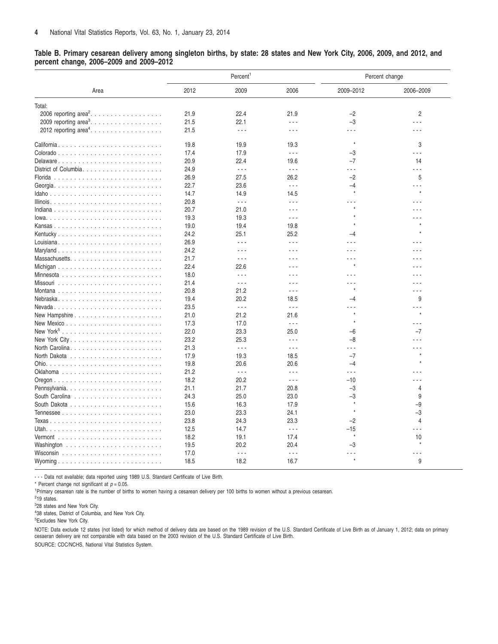<span id="page-3-0"></span>Table B. Primary cesarean delivery among singleton births, by state: 28 states and New York City, 2006, 2009, and 2012, and **percent change, 2006–2009 and 2009–2012**

|                                    | Percent <sup>1</sup><br>Percent change |                      |                      |           |                      |
|------------------------------------|----------------------------------------|----------------------|----------------------|-----------|----------------------|
| Area                               | 2012                                   | 2009                 | 2006                 | 2009-2012 | 2006-2009            |
| Total:                             |                                        |                      |                      |           |                      |
| 2006 reporting area <sup>2</sup> . | 21.9                                   | 22.4                 | 21.9                 | $-2$      | $\overline{2}$       |
| 2009 reporting area <sup>3</sup> . | 21.5                                   | 22.1                 | .                    | $-3$      | $ -$                 |
| 2012 reporting area <sup>4</sup> . | 21.5                                   | $\sim$ $\sim$ $\sim$ | $  -$                | $- - -$   | .                    |
| California                         | 19.8                                   | 19.9                 | 19.3                 | $^\star$  | 3                    |
|                                    | 17.4                                   | 17.9                 | $\sim$ $\sim$ $\sim$ | $-3$      | $\sim$ $\sim$ $\sim$ |
| Delaware                           | 20.9                                   | 22.4                 | 19.6                 | $-7$      | 14                   |
|                                    | 24.9                                   | $\sim$ $\sim$ $\sim$ | $\sim$ $\sim$ $\sim$ | .         | $\sim$ $\sim$ $\sim$ |
|                                    | 26.9                                   | 27.5                 | 26.2                 | $-2$      | 5                    |
|                                    | 22.7                                   | 23.6                 | $\sim$ $\sim$ $\sim$ | $-4$      | .                    |
|                                    | 14.7                                   | 14.9                 | 14.5                 | $^\star$  | $\star$              |
|                                    | 20.8                                   | $\sim$ $\sim$ $\sim$ | $\sim$ $\sim$ $\sim$ |           |                      |
|                                    | 20.7                                   | 21.0                 | $  -$                |           |                      |
| $lowa.$                            | 19.3                                   | 19.3                 | $\sim$ $\sim$ $\sim$ |           |                      |
|                                    | 19.0                                   | 19.4                 | 19.8                 |           |                      |
| Kentucky                           | 24.2                                   | 25.1                 | 25.2                 | $-4$      |                      |
|                                    | 26.9                                   | $\sim$ $\sim$ $\sim$ | $\sim$ $\sim$ $\sim$ | - - -     | - - -                |
|                                    | 24.2                                   | $ -$                 | $  -$                |           | .                    |
|                                    | 21.7                                   | $\sim$ $\sim$ $\sim$ | $\sim$ $\sim$ $\sim$ | .         | .                    |
|                                    | 22.4                                   | 22.6                 | $\sim$ $\sim$ $\sim$ | $\star$   | - - -                |
|                                    | 18.0                                   | $\sim$ $\sim$ $\sim$ | $\sim$ $\sim$ $\sim$ | .         | .                    |
|                                    | 21.4                                   | $\sim$ $\sim$ $\sim$ | $  -$                | - - -     | .                    |
|                                    |                                        |                      | $  -$                |           | .                    |
|                                    | 20.8                                   | 21.2<br>20.2         | 18.5                 | -4        | 9                    |
|                                    | 19.4                                   | $\ddotsc$            | $\omega \sim \omega$ |           |                      |
|                                    | 23.5                                   |                      |                      | $\star$   | $\star$              |
|                                    | 21.0                                   | 21.2                 | 21.6                 |           |                      |
|                                    | 17.3                                   | 17.0                 | $\ddotsc$            |           |                      |
|                                    | 22.0                                   | 23.3                 | 25.0                 | $-6$      | $-7$                 |
|                                    | 23.2                                   | 25.3                 | $  -$                | $-8$      |                      |
|                                    | 21.3                                   | $\sim$ $\sim$ $\sim$ | $\sim$ $\sim$ $\sim$ | .         |                      |
|                                    | 17.9                                   | 19.3                 | 18.5                 | $-7$      |                      |
|                                    | 19.8                                   | 20.6                 | 20.6                 | $-4$      |                      |
|                                    | 21.2                                   | $\sim$ $\sim$ $\sim$ | $\sim$ $\sim$ $\sim$ | .         |                      |
|                                    | 18.2                                   | 20.2                 | $\sim$ $\sim$ $\sim$ | $-10$     |                      |
| Pennsylvania                       | 21.1                                   | 21.7                 | 20.8                 | $-3$      | $\overline{4}$       |
|                                    | 24.3                                   | 25.0                 | 23.0                 | $-3$      | 9                    |
|                                    | 15.6                                   | 16.3                 | 17.9                 | $^\star$  | -9                   |
|                                    | 23.0                                   | 23.3                 | 24.1                 | $^\star$  | $-3$                 |
|                                    | 23.8                                   | 24.3                 | 23.3                 | $-2$      | $\overline{4}$       |
|                                    | 12.5                                   | 14.7                 | $\sim$ $\sim$ $\sim$ | $-15$     | .                    |
|                                    | 18.2                                   | 19.1                 | 17.4                 | $^\star$  | 10                   |
|                                    | 19.5                                   | 20.2                 | 20.4                 | $-3$      | $\star$              |
|                                    | 17.0                                   | $\sim$ $\sim$ $\sim$ | $\sim$ $\sim$ $\sim$ |           | .                    |
|                                    | 18.5                                   | 18.2                 | 16.7                 | $\star$   | 9                    |

- - - Data not available; data reported using 1989 U.S. Standard Certificate of Live Birth.

\* Percent change not significant at  $p = 0.05$ .

1 Primary cesarean rate is the number of births to women having a cesarean delivery per 100 births to women without a previous cesarean.

2 19 states.

3 28 states and New York City.

4 38 states, District of Columbia, and New York City.

5 Excludes New York City.

NOTE: Data exclude 12 states (not listed) for which method of delivery data are based on the 1989 revision of the U.S. Standard Certificate of Live Birth as of January 1, 2012; data on primary cesaeran delivery are not comparable with data based on the 2003 revision of the U.S. Standard Certificate of Live Birth.

SOURCE: CDC/NCHS, National Vital Statistics System.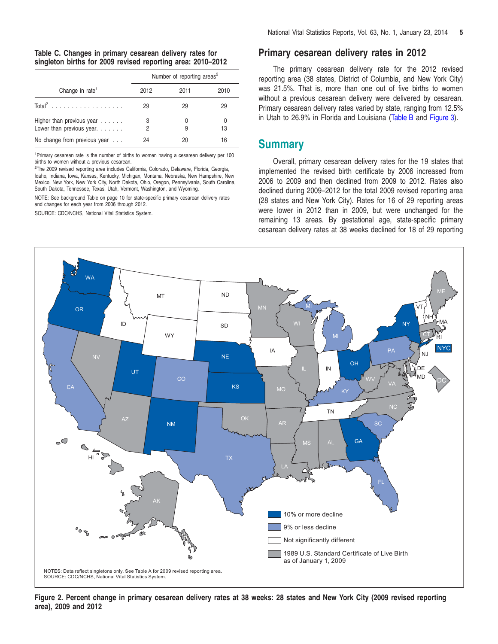<span id="page-4-0"></span>

|                                                                 |        | Number of reporting areas <sup>2</sup> |         |
|-----------------------------------------------------------------|--------|----------------------------------------|---------|
| Change in rate <sup>1</sup>                                     | 2012   | 2011                                   | 2010    |
|                                                                 | 29     | 29                                     | 29      |
| Higher than previous year<br>Lower than previous year. $\ldots$ | 3<br>2 |                                        | 0<br>13 |
| No change from previous year                                    | 24     | 20                                     | 16      |

1 Primary cesarean rate is the number of births to women having a cesarean delivery per 100 births to women without a previous cesarean.

<sup>2</sup>The 2009 revised reporting area includes California, Colorado, Delaware, Florida, Georgia, Idaho, Indiana, Iowa, Kansas, Kentucky, Michigan, Montana, Nebraska, New Hampshire, New Mexico, New York, New York City, North Dakota, Ohio, Oregon, Pennsylvania, South Carolina, South Dakota, Tennessee, Texas, Utah, Vermont, Washington, and Wyoming.

NOTE: See background Table on page 10 for state-specific primary cesarean delivery rates and changes for each year from 2006 through 2012.

SOURCE: CDC/NCHS, National Vital Statistics System.

#### **Primary cesarean delivery rates in 2012**

The primary cesarean delivery rate for the 2012 revised reporting area (38 states, District of Columbia, and New York City) was 21.5%. That is, more than one out of five births to women without a previous cesarean delivery were delivered by cesarean. Primary cesarean delivery rates varied by state, ranging from 12.5% in Utah to 26.9% in Florida and Louisiana [\(Table](#page-3-0) B and [Figure](#page-5-0) 3).

### **Summary**

Overall, primary cesarean delivery rates for the 19 states that implemented the revised birth certificate by 2006 increased from 2006 to 2009 and then declined from 2009 to 2012. Rates also declined during 2009–2012 for the total 2009 revised reporting area (28 states and New York City). Rates for 16 of 29 reporting areas were lower in 2012 than in 2009, but were unchanged for the remaining 13 areas. By gestational age, state-specific primary cesarean delivery rates at 38 weeks declined for 18 of 29 reporting

<span id="page-4-1"></span>

Figure 2. Percent change in primary cesarean delivery rates at 38 weeks: 28 states and New York City (2009 revised reporting **area), 2009 and 2012**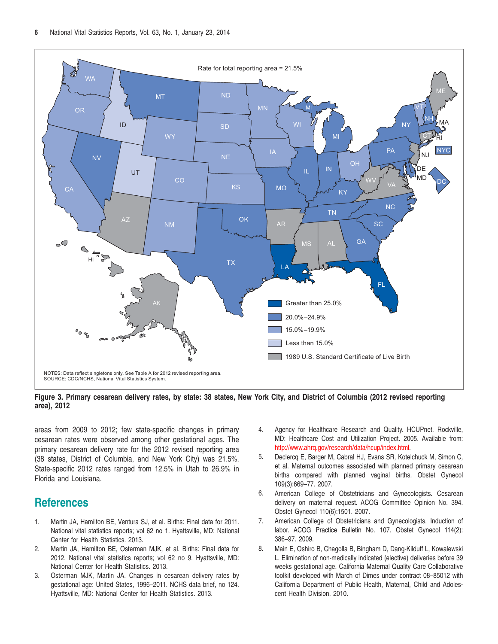<span id="page-5-0"></span>

Figure 3. Primary cesarean delivery rates, by state: 38 states, New York City, and District of Columbia (2012 revised reporting **area), 2012**

areas from 2009 to 2012; few state-specific changes in primary cesarean rates were observed among other gestational ages. The primary cesarean delivery rate for the 2012 revised reporting area (38 states, District of Columbia, and New York City) was 21.5%. State-specific 2012 rates ranged from 12.5% in Utah to 26.9% in Florida and Louisiana.

# **References**

- 1. Martin JA, Hamilton BE, Ventura SJ, et al. Births: Final data for 2011. National vital statistics reports; vol 62 no 1. Hyattsville, MD: National Center for Health Statistics. 2013.
- 2. Martin JA, Hamilton BE, Osterman MJK, et al. Births: Final data for 2012. National vital statistics reports; vol 62 no 9. Hyattsville, MD: National Center for Health Statistics. 2013.
- 3. Osterman MJK, Martin JA. Changes in cesarean delivery rates by gestational age: United States, 1996–2011. NCHS data brief, no 124. Hyattsville, MD: National Center for Health Statistics. 2013.
- 4. Agency for Healthcare Research and Quality. HCUPnet. Rockville, MD: Healthcare Cost and Utilization Project. 2005. Available from: http://www.ahrq.gov/research/data/hcup/index.html.
- 5. Declerca E, Barger M, Cabral HJ, Evans SR, Kotelchuck M, Simon C, et al. Maternal outcomes associated with planned primary cesarean births compared with planned vaginal births. Obstet Gynecol 109(3):669–77. 2007.
- 6. American College of Obstetricians and Gynecologists. Cesarean delivery on maternal request. ACOG Committee Opinion No. 394. Obstet Gynecol 110(6):1501. 2007.
- 7. American College of Obstetricians and Gynecologists. Induction of labor. ACOG Practice Bulletin No. 107. Obstet Gynecol 114(2): 386–97. 2009.
- 8. Main E, Oshiro B, Chagolla B, Bingham D, Dang-Kilduff L, Kowalewski L. Elimination of non-medically indicated (elective) deliveries before 39 weeks gestational age. California Maternal Quality Care Collaborative toolkit developed with March of Dimes under contract 08–85012 with California Department of Public Health, Maternal, Child and Adolescent Health Division. 2010.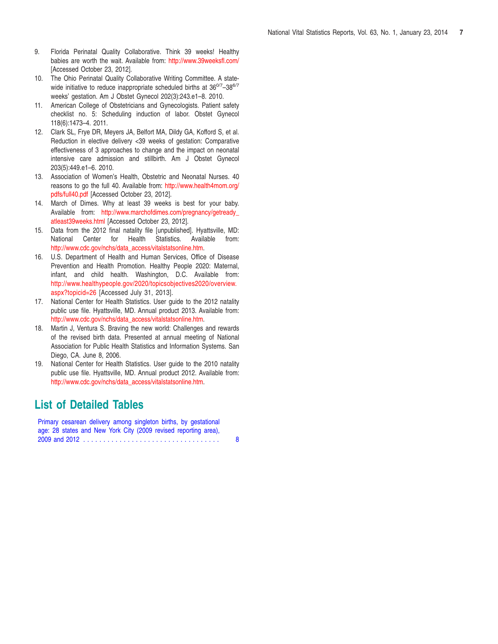- 9. Florida Perinatal Quality Collaborative. Think 39 weeks! Healthy babies are worth the wait. Available from: [http://www.39weeksfl.com/](www.39weeksfl.com/) [Accessed October 23, 2012].
- 10. The Ohio Perinatal Quality Collaborative Writing Committee. A statewide initiative to reduce inappropriate scheduled births at 36<sup>0/7</sup>-38<sup>6/7</sup> weeks' gestation. Am J Obstet Gynecol 202(3):243.e1–8. 2010.
- 11. American College of Obstetricians and Gynecologists. Patient safety checklist no. 5: Scheduling induction of labor. Obstet Gynecol 118(6):1473–4. 2011.
- 12. Clark SL, Frye DR, Meyers JA, Belfort MA, Dildy GA, Kofford S, et al. Reduction in elective delivery <39 weeks of gestation: Comparative effectiveness of 3 approaches to change and the impact on neonatal intensive care admission and stillbirth. Am J Obstet Gynecol 203(5):449.e1–6. 2010.
- 13. Association of Women's Health, Obstetric and Neonatal Nurses. 40 reasons to go the full 40. Available from: [http://www.health4mom.org/](www.health4mom.org/pdfs/full40.pdf) [pdfs/full40.pdf](www.health4mom.org/pdfs/full40.pdf) [Accessed October 23, 2012].
- 14. March of Dimes. Why at least 39 weeks is best for your baby. Available from: [http://www.marchofdimes.com/pregnancy/getready\\_](www.marchofdimes.com/pregnancy/getready_atleast39weeks.html) [atleast39weeks.html](www.marchofdimes.com/pregnancy/getready_atleast39weeks.html) [Accessed October 23, 2012].
- 15. Data from the 2012 final natality file [unpublished]. Hyattsville, MD: National Center for Health Statistics. Available from: [http://www.cdc.gov/nchs/data\\_access/vitalstatsonline.htm.](www.cdc.gov/nchs/data_access/vitalstatsonline.htm)
- 16. U.S. Department of Health and Human Services, Office of Disease Prevention and Health Promotion. Healthy People 2020: Maternal, infant, and child health. Washington, D.C. Available from: [http://www.healthypeople.gov/2020/topicsobjectives2020/overview.](www.healthypeople.gov/2020/topicsobjectives2020/overview.aspx?topicid=26) [aspx?topicid=26](www.healthypeople.gov/2020/topicsobjectives2020/overview.aspx?topicid=26) [Accessed July 31, 2013].
- 17. National Center for Health Statistics. User guide to the 2012 natality public use file. Hyattsville, MD. Annual product 2013. Available from: [http://www.cdc.gov/nchs/data\\_access/vitalstatsonline.htm.](www.cdc.gov/nchs/data_access/vitalstatsonline.htm)
- 18. Martin J, Ventura S. Braving the new world: Challenges and rewards of the revised birth data. Presented at annual meeting of National Association for Public Health Statistics and Information Systems. San Diego, CA. June 8, 2006.
- 19. National Center for Health Statistics. User guide to the 2010 natality public use file. Hyattsville, MD. Annual product 2012. Available from: [http://www.cdc.gov/nchs/data\\_access/vitalstatsonline.htm.](www.cdc.gov/nchs/data_access/vitalstatsonline.htm)

# **List of Detailed Tables**

Primary cesarean delivery among singleton births, by gestational age: 28 states and New York City (2009 revised reporting area), 2009 and 2012 [..................................](#page-7-0) 8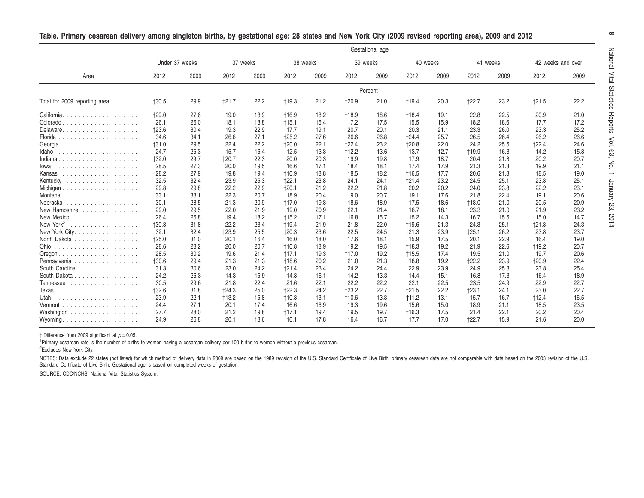|                                               | Gestational age      |      |          |      |              |      |              |      |              |      |              |      |                   |      |
|-----------------------------------------------|----------------------|------|----------|------|--------------|------|--------------|------|--------------|------|--------------|------|-------------------|------|
|                                               | Under 37 weeks       |      | 37 weeks |      | 38 weeks     |      | 39 weeks     |      | 40 weeks     |      | 41 weeks     |      | 42 weeks and over |      |
| Area                                          | 2012                 | 2009 | 2012     | 2009 | 2012         | 2009 | 2012         | 2009 | 2012         | 2009 | 2012         | 2009 | 2012              | 2009 |
|                                               | Percent <sup>1</sup> |      |          |      |              |      |              |      |              |      |              |      |                   |      |
| Total for 2009 reporting area $\ldots \ldots$ | <b>+30.5</b>         | 29.9 | $+21.7$  | 22.2 | $+19.3$      | 21.2 | <b>t20.9</b> | 21.0 | †19.4        | 20.3 | $+22.7$      | 23.2 | $+21.5$           | 22.2 |
| California                                    | <b>t29.0</b>         | 27.6 | 19.0     | 18.9 | <b>t16.9</b> | 18.2 | <b>t18.9</b> | 18.6 | <b>t18.4</b> | 19.1 | 22.8         | 22.5 | 20.9              | 21.0 |
| Colorado.<br>.                                | 26.1                 | 26.0 | 18.1     | 18.8 | $+15.1$      | 16.4 | 17.2         | 17.5 | 15.5         | 15.9 | 18.2         | 18.6 | 17.7              | 17.2 |
| Delaware.                                     | $+23.6$              | 30.4 | 19.3     | 22.9 | 17.7         | 19.1 | 20.7         | 20.1 | 20.3         | 21.1 | 23.3         | 26.0 | 23.3              | 25.2 |
| Florida<br>.                                  | 34.6                 | 34.1 | 26.6     | 27.1 | $+25.2$      | 27.6 | 26.6         | 26.8 | <b>+24.4</b> | 25.7 | 26.5         | 26.4 | 26.2              | 26.6 |
| Georgia<br>.                                  | <b>+31.0</b>         | 29.5 | 22.4     | 22.2 | <b>+20.0</b> | 22.1 | <b>t22.4</b> | 23.2 | <b>t20.8</b> | 22.0 | 24.2         | 25.5 | 122.4             | 24.6 |
| Idaho<br>.                                    | 24.7                 | 25.3 | 15.7     | 16.4 | 12.5         | 13.3 | $+12.2$      | 13.6 | 13.7         | 12.7 | <b>†19.9</b> | 16.3 | 14.2              | 15.8 |
| Indiana                                       | <b>+32.0</b>         | 29.7 | $+20.7$  | 22.3 | 20.0         | 20.3 | 19.9         | 19.8 | 17.9         | 18.7 | 20.4         | 21.3 | 20.2              | 20.7 |
| lowa.<br>.                                    | 28.5                 | 27.3 | 20.0     | 19.5 | 16.6         | 17.1 | 18.4         | 18.1 | 17.4         | 17.9 | 21.3         | 21.3 | 19.9              | 21.1 |
| Kansas<br>.                                   | 28.2                 | 27.9 | 19.8     | 19.4 | <b>t16.9</b> | 18.8 | 18.5         | 18.2 | <b>t16.5</b> | 17.7 | 20.6         | 21.3 | 18.5              | 19.0 |
| Kentucky<br>.                                 | 32.5                 | 32.4 | 23.9     | 25.3 | $+22.1$      | 23.8 | 24.1         | 24.1 | $+21.4$      | 23.2 | 24.5         | 25.1 | 23.8              | 25.1 |
|                                               | 29.8                 | 29.8 | 22.2     | 22.9 | $+20.1$      | 21.2 | 22.2         | 21.8 | 20.2         | 20.2 | 24.0         | 23.8 | 22.2              | 23.1 |
|                                               | 33.1                 | 33.1 | 22.3     | 20.7 | 18.9         | 20.4 | 19.0         | 20.7 | 19.1         | 17.6 | 21.8         | 22.4 | 19.1              | 20.6 |
| Nebraska<br>.                                 | 30.1                 | 28.5 | 21.3     | 20.9 | $+17.0$      | 19.3 | 18.6         | 18.9 | 17.5         | 18.6 | $+18.0$      | 21.0 | 20.5              | 20.9 |
| New Hampshire                                 | 29.0                 | 29.5 | 22.0     | 21.9 | 19.0         | 20.9 | 22.1         | 21.4 | 16.7         | 18.1 | 23.3         | 21.0 | 21.9              | 23.2 |
| New Mexico                                    | 26.4                 | 26.8 | 19.4     | 18.2 | $+15.2$      | 17.1 | 16.8         | 15.7 | 15.2         | 14.3 | 16.7         | 15.5 | 15.0              | 14.7 |
| New York <sup>2</sup><br>.                    | $+30.3$              | 31.8 | 22.2     | 23.4 | <b>t19.4</b> | 21.9 | 21.8         | 22.0 | <b>t19.6</b> | 21.3 | 24.3         | 25.1 | 121.8             | 24.3 |
| New York City.                                | 32.1                 | 32.4 | $+23.9$  | 25.5 | $+20.3$      | 23.6 | $+22.5$      | 24.5 | $+21.3$      | 23.9 | $+25.1$      | 26.2 | 23.8              | 23.7 |
| North Dakota                                  | $+25.0$              | 31.0 | 20.1     | 16.4 | 16.0         | 18.0 | 17.6         | 18.1 | 15.9         | 17.5 | 20.1         | 22.9 | 16.4              | 19.0 |
| Ohio<br>.                                     | 28.6                 | 28.2 | 20.0     | 20.7 | <b>t16.8</b> | 18.9 | 19.2         | 19.5 | $+18.3$      | 19.2 | 21.9         | 22.6 | $+19.2$           | 20.7 |
| Oregon.                                       | 28.5                 | 30.2 | 19.6     | 21.4 | $+17.1$      | 19.3 | $+17.0$      | 19.2 | $+15.5$      | 17.4 | 19.5         | 21.0 | 19.7              | 20.6 |
| Pennsylvania                                  | <b>†30.6</b>         | 29.4 | 21.3     | 21.3 | <b>t18.6</b> | 20.2 | 21.0         | 21.3 | 18.8         | 19.2 | 122.2        | 23.9 | $+20.9$           | 22.4 |
| South Carolina                                | 31.3                 | 30.6 | 23.0     | 24.2 | 121.4        | 23.4 | 24.2         | 24.4 | 22.9         | 23.9 | 24.9         | 25.3 | 23.8              | 25.4 |
| South Dakota                                  | 24.2                 | 26.3 | 14.3     | 15.9 | 14.8         | 16.1 | 14.2         | 13.3 | 14.4         | 15.1 | 16.8         | 17.3 | 16.4              | 18.9 |
| Tennessee                                     | 30.5                 | 29.6 | 21.8     | 22.4 | 21.6         | 22.1 | 22.2         | 22.2 | 22.1         | 22.5 | 23.5         | 24.9 | 22.9              | 22.7 |
| Texas<br>.                                    | <b>+32.6</b>         | 31.8 | 124.3    | 25.0 | $+22.3$      | 24.2 | $+23.2$      | 22.7 | †21.5        | 22.2 | $+23.1$      | 24.1 | 23.0              | 22.7 |
|                                               | 23.9                 | 22.1 | $+13.2$  | 15.8 | $+10.8$      | 13.1 | $+10.6$      | 13.3 | $+11.2$      | 13.1 | 15.7         | 16.7 | $+12.4$           | 16.5 |
| Vermont<br>.                                  | 24.4                 | 27.1 | 20.1     | 17.4 | 16.6         | 16.9 | 19.3         | 19.6 | 15.6         | 15.0 | 18.9         | 21.1 | 18.5              | 23.5 |
| Washington                                    | 27.7                 | 28.0 | 21.2     | 19.8 | $+17.1$      | 19.4 | 19.5         | 19.7 | $+16.3$      | 17.5 | 21.4         | 22.1 | 20.2              | 20.4 |
| Wyoming. $\dots$                              | 24.9                 | 26.8 | 20.1     | 18.6 | 16.1         | 17.8 | 16.4         | 16.7 | 17.7         | 17.0 | $+22.7$      | 15.9 | 21.6              | 20.0 |

<span id="page-7-0"></span>

|  |  |  |  | Table. Primary cesarean delivery among singleton births, by gestational age: 28 states and New York City (2009 revised reporting area), 2009 and 2012 |  |  |  |  |  |  |
|--|--|--|--|-------------------------------------------------------------------------------------------------------------------------------------------------------|--|--|--|--|--|--|
|  |  |  |  |                                                                                                                                                       |  |  |  |  |  |  |

† Difference from 2009 significant at *p* <sup>=</sup> 0.05.

1Primary cesarean rate is the number of births to women having <sup>a</sup> cesarean delivery per <sup>100</sup> births to women without <sup>a</sup> previous cesarean.

<sup>2</sup>Excludes New York City.

NOTES: Data exclude 22 states (not listed) for which method of delivery data in 2009 are based on the 1989 revision of the U.S. Standard Certificate of Live Birth; primary cesarean data are not comparable with data based o Standard Certificate of Live Birth. Gestational age is based on completed weeks of gestation.

SOURCE: CDC/NCHS, National Vital Statistics System.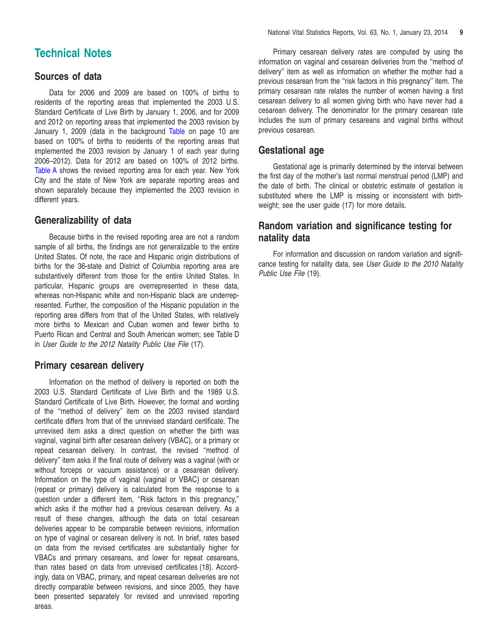# <span id="page-8-0"></span>**Technical Notes**

#### **Sources of data**

Data for 2006 and 2009 are based on 100% of births to residents of the reporting areas that implemented the 2003 U.S. Standard Certificate of Live Birth by January 1, 2006, and for 2009 and 2012 on reporting areas that implemented the 2003 revision by January 1, 2009 (data in the ba[ckground](#page-9-0) Table on page 10 are based on 100% of births to residents of the reporting areas that implemented the 2003 revision by January 1 of each year during 2006–2012). Data for 2012 are based on 100% of 2012 births. [Table](#page-2-0) A shows the revised reporting area for each year. New York City and the state of New York are separate reporting areas and shown separately because they implemented the 2003 revision in different years.

#### **Generalizability of data**

Because births in the revised reporting area are not a random sample of all births, the findings are not generalizable to the entire United States. Of note, the race and Hispanic origin distributions of births for the 36-state and District of Columbia reporting area are substantively different from those for the entire United States. In particular, Hispanic groups are overrepresented in these data, whereas non-Hispanic white and non-Hispanic black are underrepresented. Further, the composition of the Hispanic population in the reporting area differs from that of the United States, with relatively more births to Mexican and Cuban women and fewer births to Puerto Rican and Central and South American women; see Table D in *User Guide to the 2012 Natality Public Use File* (17).

### **Primary cesarean delivery**

Information on the method of delivery is reported on both the 2003 U.S. Standard Certificate of Live Birth and the 1989 U.S. Standard Certificate of Live Birth. However, the format and wording of the ''method of delivery'' item on the 2003 revised standard certificate differs from that of the unrevised standard certificate. The unrevised item asks a direct question on whether the birth was vaginal, vaginal birth after cesarean delivery (VBAC), or a primary or repeat cesarean delivery. In contrast, the revised ''method of delivery'' item asks if the final route of delivery was a vaginal (with or without forceps or vacuum assistance) or a cesarean delivery. Information on the type of vaginal (vaginal or VBAC) or cesarean (repeat or primary) delivery is calculated from the response to a question under a different item, ''Risk factors in this pregnancy,'' which asks if the mother had a previous cesarean delivery. As a result of these changes, although the data on total cesarean deliveries appear to be comparable between revisions, information on type of vaginal or cesarean delivery is not. In brief, rates based on data from the revised certificates are substantially higher for VBACs and primary cesareans, and lower for repeat cesareans, than rates based on data from unrevised certificates (18). Accordingly, data on VBAC, primary, and repeat cesarean deliveries are not directly comparable between revisions, and since 2005, they have been presented separately for revised and unrevised reporting areas.

Primary cesarean delivery rates are computed by using the information on vaginal and cesarean deliveries from the ''method of delivery'' item as well as information on whether the mother had a previous cesarean from the ''risk factors in this pregnancy'' item. The primary cesarean rate relates the number of women having a first cesarean delivery to all women giving birth who have never had a cesarean delivery. The denominator for the primary cesarean rate includes the sum of primary cesareans and vaginal births without previous cesarean.

#### **Gestational age**

Gestational age is primarily determined by the interval between the first day of the mother's last normal menstrual period (LMP) and the date of birth. The clinical or obstetric estimate of gestation is substituted where the LMP is missing or inconsistent with birthweight; see the user guide (17) for more details.

# **Random variation and significance testing for natality data**

For information and discussion on random variation and significance testing for natality data, see *User Guide to the 2010 Natality Public Use File* (19).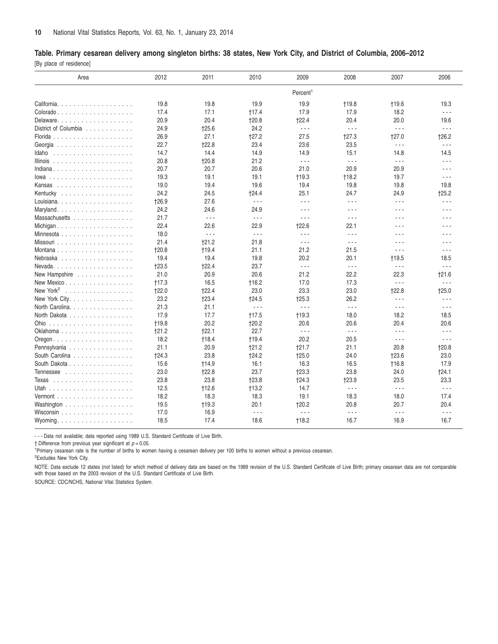#### <span id="page-9-0"></span>Table. Primary cesarean delivery among singleton births: 38 states, New York City, and District of Columbia, 2006–2012

[By place of residence]

| Area                                                 | 2012         | 2011                 | 2010                 | 2009                 | 2008                 | 2007                 | 2006                 |
|------------------------------------------------------|--------------|----------------------|----------------------|----------------------|----------------------|----------------------|----------------------|
|                                                      |              |                      |                      | Percent <sup>1</sup> |                      |                      |                      |
| California                                           | 19.8         | 19.8                 | 19.9                 | 19.9                 | <b>†19.8</b>         | <b>t19.6</b>         | 19.3                 |
|                                                      | 17.4         | 17.1                 | †17.4                | 17.9                 | 17.9                 | 18.2                 | $\sim$ $\sim$ $\sim$ |
| Delaware.                                            | 20.9         | 20.4                 | $+20.8$              | $+22.4$              | 20.4                 | 20.0                 | 19.6                 |
| District of Columbia                                 | 24.9         | 125.6                | 24.2                 | $\sim$ $\sim$ $\sim$ | $\sim$ $\sim$ $\sim$ | $\omega \sim \omega$ | $\omega \sim \omega$ |
|                                                      | 26.9         | 27.1                 | 127.2                | 27.5                 | $+27.3$              | <b>t27.0</b>         | $+26.2$              |
|                                                      | 22.7         | $+22.8$              | 23.4                 | 23.6                 | 23.5                 | $\sim$ $\sim$ $\sim$ | $\sim$ $\sim$ $\sim$ |
| Idaho                                                | 14.7         | 14.4                 | 14.9                 | 14.9                 | 15.1                 | 14.8                 | 14.5                 |
| Illinois $\ldots \ldots \ldots \ldots \ldots \ldots$ | 20.8         | $+20.8$              | 21.2                 | $\sim$ $\sim$ $\sim$ | $\sim$ $\sim$ $\sim$ | $\sim$ $\sim$ $\sim$ | $\sim$ $\sim$ $\sim$ |
| Indiana                                              | 20.7         | 20.7                 | 20.6                 | 21.0                 | 20.9                 | 20.9                 | $- - -$              |
|                                                      | 19.3         | 19.1                 | 19.1                 | $+19.3$              | $+18.2$              | 19.7                 | $\sim$ $\sim$ $\sim$ |
|                                                      | 19.0         | 19.4                 | 19.6                 | 19.4                 | 19.8                 | 19.8                 | 19.8                 |
| Kentucky                                             | 24.2         | 24.5                 | †24.4                | 25.1                 | 24.7                 | 24.9                 | †25.2                |
|                                                      | <b>t26.9</b> | 27.6                 | $\sim$ $\sim$ $\sim$ | $\sim$ $\sim$ $\sim$ | $\sim$ $\sim$ $\sim$ | $\sim$ $\sim$ $\sim$ | $\sim$ $\sim$ $\sim$ |
| Maryland                                             | 24.2         | 24.6                 | 24.9                 | $  -$                | $  -$                | $\sim$ $\sim$ $\sim$ | $\sim$ $\sim$ $\sim$ |
| Massachusetts                                        | 21.7         | $\sim$ $\sim$ $\sim$ | $\omega \sim \omega$ | .                    | $\sim$ $\sim$ $\sim$ | $\sim$ $\sim$ $\sim$ | $\sim$ $\sim$ $\sim$ |
| Michigan                                             | 22.4         | 22.6                 | 22.9                 | 122.6                | 22.1                 | $\sim$ $\sim$ $\sim$ | $\sim$ $\sim$ $\sim$ |
| Minnesota                                            | 18.0         | $\sim$ $\sim$ $\sim$ | $\omega \sim \omega$ | $\sim$ $\sim$ $\sim$ | $\sim$ $\sim$ $\sim$ | $\sim$ $\sim$ $\sim$ | $\sim$ $\sim$ $\sim$ |
|                                                      | 21.4         | $+21.2$              | 21.8                 | $\sim$ $\sim$ $\sim$ | $\sim$ $\sim$ $\sim$ | $\sim$ $\sim$ $\sim$ | $\sim$ $\sim$ $\sim$ |
| Montana                                              | <b>t20.8</b> | <b>+19.4</b>         | 21.1                 | 21.2                 | 21.5                 | $ -$                 | $\sim$ $\sim$ $\sim$ |
| Nebraska                                             | 19.4         | 19.4                 | 19.8                 | 20.2                 | 20.1                 | <b>t19.5</b>         | 18.5                 |
|                                                      | $+23.5$      | 122.4                | 23.7                 | $\sim$ $\sim$ $\sim$ | $\sim$ $\sim$ $\sim$ | $\sim$ $\sim$ $\sim$ | $\sim$ $\sim$ $\sim$ |
| New Hampshire                                        | 21.0         | 20.9                 | 20.6                 | 21.2                 | 22.2                 | 22.3                 | 121.6                |
| New Mexico                                           | $+17.3$      | 16.5                 | <b>t16.2</b>         | 17.0                 | 17.3                 | $\omega \sim \omega$ | $\sim$ $\sim$ $\sim$ |
| New York <sup>2</sup>                                | $+22.0$      | 122.4                | 23.0                 | 23.3                 | 23.0                 | $+22.8$              | <b>t25.0</b>         |
| New York City.                                       | 23.2         | $+23.4$              | $+24.5$              | $+25.3$              | 26.2                 | $\sim$ $\sim$ $\sim$ | $\sim$ $\sim$ $\sim$ |
| North Carolina.                                      | 21.3         | 21.1                 | $\omega \sim \omega$ | $\sim$ $\sim$ $\sim$ | $\omega \sim \omega$ | $\sim$ $\sim$ $\sim$ | $\sim$ $\sim$ $\sim$ |
| North Dakota                                         | 17.9         | 17.7                 | $+17.5$              | $+19.3$              | 18.0                 | 18.2                 | 18.5                 |
|                                                      | <b>+19.8</b> | 20.2                 | $+20.2$              | 20.6                 | 20.6                 | 20.4                 | 20.6                 |
| Oklahoma                                             | $+21.2$      | $+22.1$              | 22.7                 | $\sim$ $\sim$ $\sim$ | $\sim$ $\sim$ $\sim$ | $\sim$ $\sim$ $\sim$ | $\sim$ $\sim$ $\sim$ |
| Oregon. $\ldots$ .                                   | 18.2         | <b>+18.4</b>         | $+19.4$              | 20.2                 | 20.5                 | $\sim$ $\sim$ $\sim$ | $\sim$ $\sim$ $\sim$ |
| Pennsylvania                                         | 21.1         | 20.9                 | $+21.2$              | $+21.7$              | 21.1                 | 20.8                 | <b>t20.8</b>         |
| South Carolina                                       | $+24.3$      | 23.8                 | <b>t24.2</b>         | $+25.0$              | 24.0                 | <b>t23.6</b>         | 23.0                 |
| South Dakota                                         | 15.6         | <b>t14.9</b>         | 16.1                 | 16.3                 | 16.5                 | <b>t16.8</b>         | 17.9                 |
| Tennessee                                            | 23.0         | $+22.8$              | 23.7                 | $+23.3$              | 23.8                 | 24.0                 | 124.1                |
|                                                      | 23.8         | 23.8                 | 123.8                | $+24.3$              | <b>t23.9</b>         | 23.5                 | 23.3                 |
|                                                      | 12.5         | $+12.6$              | +13.2                | 14.7                 | $\sim$ $\sim$ $\sim$ | $\sim$ $\sim$ $\sim$ | $\sim$ $\sim$ $\sim$ |
|                                                      |              |                      |                      |                      |                      |                      |                      |
|                                                      | 18.2         | 18.3                 | 18.3<br>20.1         | 19.1<br>$+20.2$      | 18.3<br>20.8         | 18.0<br>20.7         | 17.4<br>20.4         |
| Washington                                           | 19.5         | $+19.3$              |                      | $\sim$ $\sim$ $\sim$ |                      |                      |                      |
| Wisconsin                                            | 17.0         | 16.9                 | $\sim$ $\sim$ $\sim$ |                      | $\sim$ $\sim$ $\sim$ | $\sim$ $\sim$ $\sim$ | $\sim$ $\sim$ $\sim$ |
| Wyoming                                              | 18.5         | 17.4                 | 18.6                 | $+18.2$              | 16.7                 | 16.9                 | 16.7                 |

- - - Data not available; data reported using 1989 U.S. Standard Certificate of Live Birth.

† Difference from previous year significant at *p* = 0.05.

<sup>1</sup>Primary cesarean rate is the number of births to women having a cesarean delivery per 100 births to women without a previous cesarean.

2 Excludes New York City.

NOTE: Data exclude 12 states (not listed) for which method of delivery data are based on the 1989 revision of the U.S. Standard Certificate of Live Birth; primary cesarean data are not comparable with those based on the 2003 revision of the U.S. Standard Certificate of Live Birth.

SOURCE: CDC/NCHS, National Vital Statistics System.